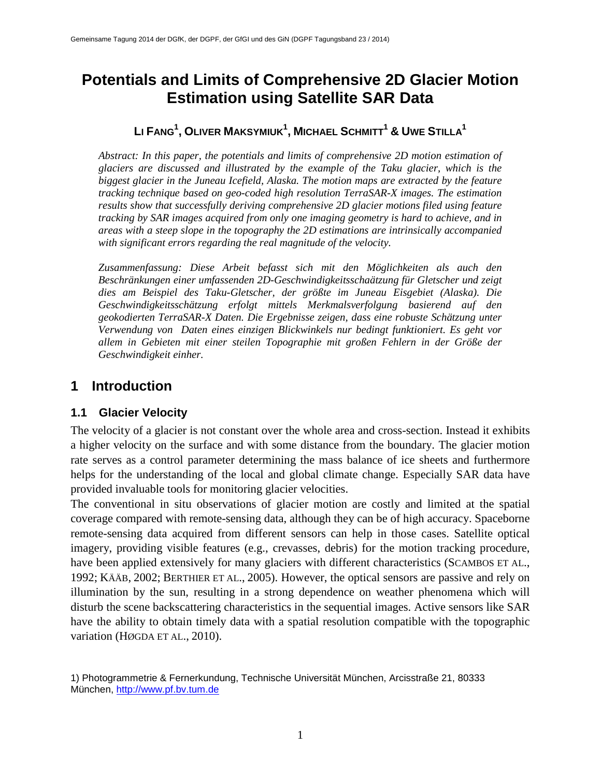# **Potentials and Limits of Comprehensive 2D Glacier Motion Estimation using Satellite SAR Data**

### **LI FANG1 , OLIVER MAKSYMIUK1 , MICHAEL SCHMITT1 & UWE STILLA1**

*Abstract: In this paper, the potentials and limits of comprehensive 2D motion estimation of glaciers are discussed and illustrated by the example of the Taku glacier, which is the biggest glacier in the Juneau Icefield, Alaska. The motion maps are extracted by the feature tracking technique based on geo-coded high resolution TerraSAR-X images. The estimation results show that successfully deriving comprehensive 2D glacier motions filed using feature tracking by SAR images acquired from only one imaging geometry is hard to achieve, and in areas with a steep slope in the topography the 2D estimations are intrinsically accompanied with significant errors regarding the real magnitude of the velocity.*

*Zusammenfassung: Diese Arbeit befasst sich mit den Möglichkeiten als auch den Beschränkungen einer umfassenden 2D-Geschwindigkeitsschaätzung für Gletscher und zeigt dies am Beispiel des Taku-Gletscher, der größte im Juneau Eisgebiet (Alaska). Die Geschwindigkeitsschätzung erfolgt mittels Merkmalsverfolgung basierend auf den geokodierten TerraSAR-X Daten. Die Ergebnisse zeigen, dass eine robuste Schätzung unter Verwendung von Daten eines einzigen Blickwinkels nur bedingt funktioniert. Es geht vor allem in Gebieten mit einer steilen Topographie mit großen Fehlern in der Größe der Geschwindigkeit einher.*

### **1 Introduction**

#### **1.1 Glacier Velocity**

The velocity of a glacier is not constant over the whole area and cross-section. Instead it exhibits a higher velocity on the surface and with some distance from the boundary. The glacier motion rate serves as a control parameter determining the mass balance of ice sheets and furthermore helps for the understanding of the local and global climate change. Especially SAR data have provided invaluable tools for monitoring glacier velocities.

The conventional in situ observations of glacier motion are costly and limited at the spatial coverage compared with remote-sensing data, although they can be of high accuracy. Spaceborne remote-sensing data acquired from different sensors can help in those cases. Satellite optical imagery, providing visible features (e.g., crevasses, debris) for the motion tracking procedure, have been applied extensively for many glaciers with different characteristics (SCAMBOS ET AL., 1992; KÄÄB, 2002; BERTHIER ET AL., 2005). However, the optical sensors are passive and rely on illumination by the sun, resulting in a strong dependence on weather phenomena which will disturb the scene backscattering characteristics in the sequential images. Active sensors like SAR have the ability to obtain timely data with a spatial resolution compatible with the topographic variation (HØGDA ET AL., 2010).

<sup>1)</sup> Photogrammetrie & Fernerkundung, Technische Universität München, Arcisstraße 21, 80333 München, [http://www.pf.bv.tum.de](http://www.pf.bv.tum.de/)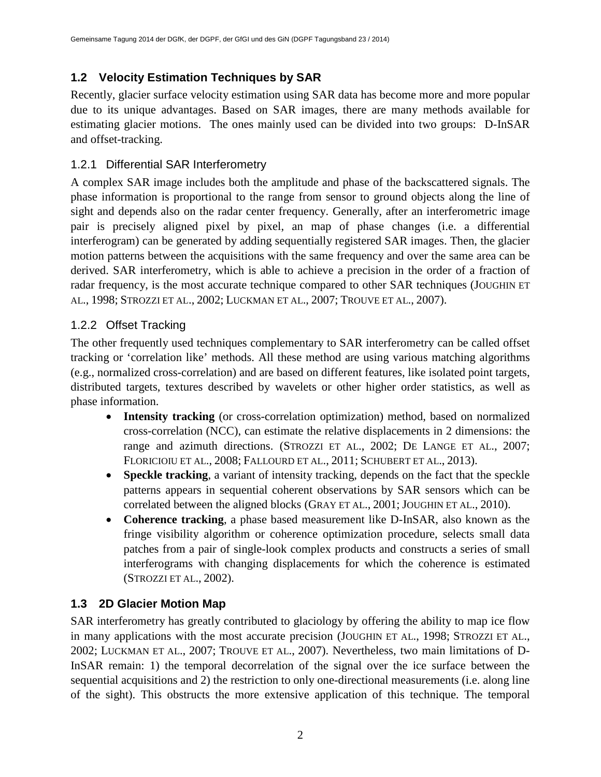### **1.2 Velocity Estimation Techniques by SAR**

Recently, glacier surface velocity estimation using SAR data has become more and more popular due to its unique advantages. Based on SAR images, there are many methods available for estimating glacier motions. The ones mainly used can be divided into two groups: D-InSAR and offset-tracking.

### 1.2.1 Differential SAR Interferometry

A complex SAR image includes both the amplitude and phase of the backscattered signals. The phase information is proportional to the range from sensor to ground objects along the line of sight and depends also on the radar center frequency. Generally, after an interferometric image pair is precisely aligned pixel by pixel, an map of phase changes (i.e. a differential interferogram) can be generated by adding sequentially registered SAR images. Then, the glacier motion patterns between the acquisitions with the same frequency and over the same area can be derived. SAR interferometry, which is able to achieve a precision in the order of a fraction of radar frequency, is the most accurate technique compared to other SAR techniques (JOUGHIN ET AL., 1998; STROZZI ET AL., 2002; LUCKMAN ET AL., 2007; TROUVE ET AL., 2007).

### 1.2.2 Offset Tracking

The other frequently used techniques complementary to SAR interferometry can be called offset tracking or 'correlation like' methods. All these method are using various matching algorithms (e.g., normalized cross-correlation) and are based on different features, like isolated point targets, distributed targets, textures described by wavelets or other higher order statistics, as well as phase information.

- **Intensity tracking** (or cross-correlation optimization) method, based on normalized cross-correlation (NCC), can estimate the relative displacements in 2 dimensions: the range and azimuth directions. (STROZZI ET AL., 2002; DE LANGE ET AL., 2007; FLORICIOIU ET AL., 2008; FALLOURD ET AL., 2011; SCHUBERT ET AL., 2013).
- **Speckle tracking**, a variant of intensity tracking, depends on the fact that the speckle patterns appears in sequential coherent observations by SAR sensors which can be correlated between the aligned blocks (GRAY ET AL., 2001; JOUGHIN ET AL., 2010).
- **Coherence tracking**, a phase based measurement like D-InSAR, also known as the fringe visibility algorithm or coherence optimization procedure, selects small data patches from a pair of single-look complex products and constructs a series of small interferograms with changing displacements for which the coherence is estimated (STROZZI ET AL., 2002).

### **1.3 2D Glacier Motion Map**

SAR interferometry has greatly contributed to glaciology by offering the ability to map ice flow in many applications with the most accurate precision (JOUGHIN ET AL., 1998; STROZZI ET AL., 2002; LUCKMAN ET AL., 2007; TROUVE ET AL., 2007). Nevertheless, two main limitations of D-InSAR remain: 1) the temporal decorrelation of the signal over the ice surface between the sequential acquisitions and 2) the restriction to only one-directional measurements (i.e. along line of the sight). This obstructs the more extensive application of this technique. The temporal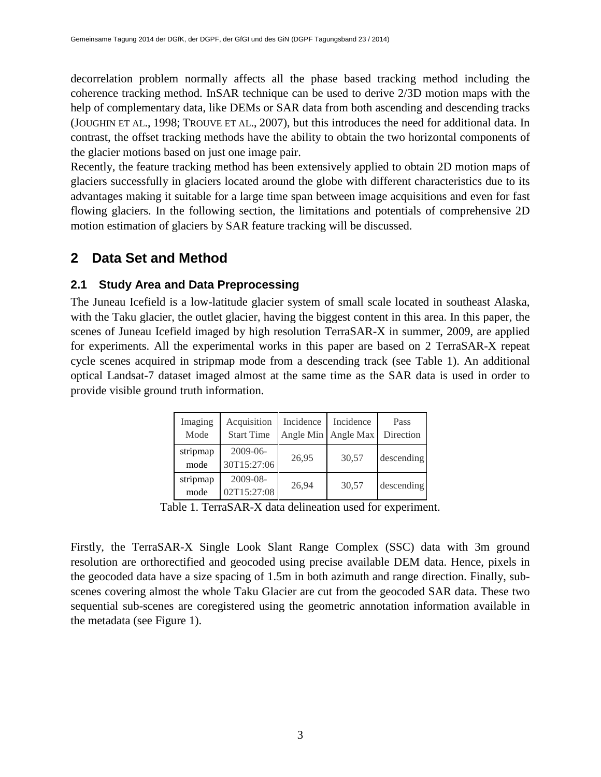decorrelation problem normally affects all the phase based tracking method including the coherence tracking method. InSAR technique can be used to derive 2/3D motion maps with the help of complementary data, like DEMs or SAR data from both ascending and descending tracks (JOUGHIN ET AL., 1998; TROUVE ET AL., 2007), but this introduces the need for additional data. In contrast, the offset tracking methods have the ability to obtain the two horizontal components of the glacier motions based on just one image pair.

Recently, the feature tracking method has been extensively applied to obtain 2D motion maps of glaciers successfully in glaciers located around the globe with different characteristics due to its advantages making it suitable for a large time span between image acquisitions and even for fast flowing glaciers. In the following section, the limitations and potentials of comprehensive 2D motion estimation of glaciers by SAR feature tracking will be discussed.

### **2 Data Set and Method**

#### **2.1 Study Area and Data Preprocessing**

The Juneau Icefield is a low-latitude glacier system of small scale located in southeast Alaska, with the Taku glacier, the outlet glacier, having the biggest content in this area. In this paper, the scenes of Juneau Icefield imaged by high resolution TerraSAR-X in summer, 2009, are applied for experiments. All the experimental works in this paper are based on 2 TerraSAR-X repeat cycle scenes acquired in stripmap mode from a descending track (see Table 1). An additional optical Landsat-7 dataset imaged almost at the same time as the SAR data is used in order to provide visible ground truth information.

| Imaging<br>Mode  | Acquisition<br><b>Start Time</b> | Incidence | Incidence<br>Angle Min Angle Max | Pass<br>Direction |
|------------------|----------------------------------|-----------|----------------------------------|-------------------|
| stripmap<br>mode | $2009 - 06 -$<br>30T15:27:06     | 26,95     | 30,57                            | descending        |
| stripmap<br>mode | 2009-08-<br>02T15:27:08          | 26,94     | 30,57                            | descending        |

Table 1. TerraSAR-X data delineation used for experiment.

Firstly, the TerraSAR-X Single Look Slant Range Complex (SSC) data with 3m ground resolution are orthorectified and geocoded using precise available DEM data. Hence, pixels in the geocoded data have a size spacing of 1.5m in both azimuth and range direction. Finally, subscenes covering almost the whole Taku Glacier are cut from the geocoded SAR data. These two sequential sub-scenes are coregistered using the geometric annotation information available in the metadata (see Figure 1).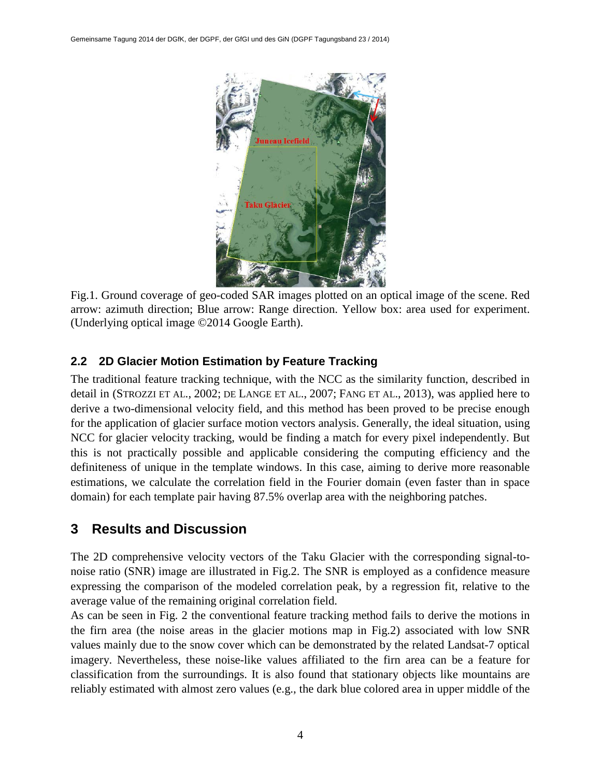

Fig.1. Ground coverage of geo-coded SAR images plotted on an optical image of the scene. Red arrow: azimuth direction; Blue arrow: Range direction. Yellow box: area used for experiment. (Underlying optical image ©2014 Google Earth).

### **2.2 2D Glacier Motion Estimation by Feature Tracking**

The traditional feature tracking technique, with the NCC as the similarity function, described in detail in (STROZZI ET AL., 2002; DE LANGE ET AL., 2007; FANG ET AL., 2013), was applied here to derive a two-dimensional velocity field, and this method has been proved to be precise enough for the application of glacier surface motion vectors analysis. Generally, the ideal situation, using NCC for glacier velocity tracking, would be finding a match for every pixel independently. But this is not practically possible and applicable considering the computing efficiency and the definiteness of unique in the template windows. In this case, aiming to derive more reasonable estimations, we calculate the correlation field in the Fourier domain (even faster than in space domain) for each template pair having 87.5% overlap area with the neighboring patches.

## **3 Results and Discussion**

The 2D comprehensive velocity vectors of the Taku Glacier with the corresponding signal-tonoise ratio (SNR) image are illustrated in Fig.2. The SNR is employed as a confidence measure expressing the comparison of the modeled correlation peak, by a regression fit, relative to the average value of the remaining original correlation field.

As can be seen in Fig. 2 the conventional feature tracking method fails to derive the motions in the firn area (the noise areas in the glacier motions map in Fig.2) associated with low SNR values mainly due to the snow cover which can be demonstrated by the related Landsat-7 optical imagery. Nevertheless, these noise-like values affiliated to the firn area can be a feature for classification from the surroundings. It is also found that stationary objects like mountains are reliably estimated with almost zero values (e.g., the dark blue colored area in upper middle of the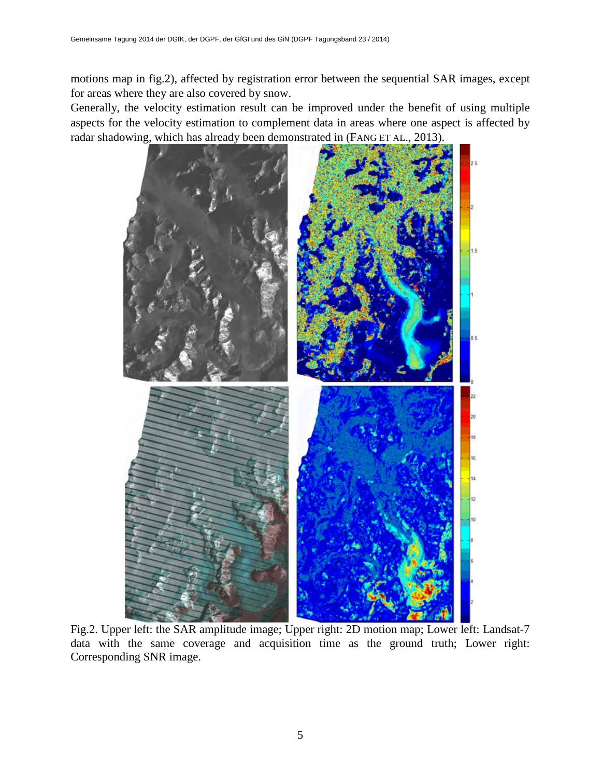motions map in fig.2), affected by registration error between the sequential SAR images, except for areas where they are also covered by snow.

Generally, the velocity estimation result can be improved under the benefit of using multiple aspects for the velocity estimation to complement data in areas where one aspect is affected by radar shadowing, which has already been demonstrated in (FANG ET AL., 2013).



Fig.2. Upper left: the SAR amplitude image; Upper right: 2D motion map; Lower left: Landsat-7 data with the same coverage and acquisition time as the ground truth; Lower right: Corresponding SNR image.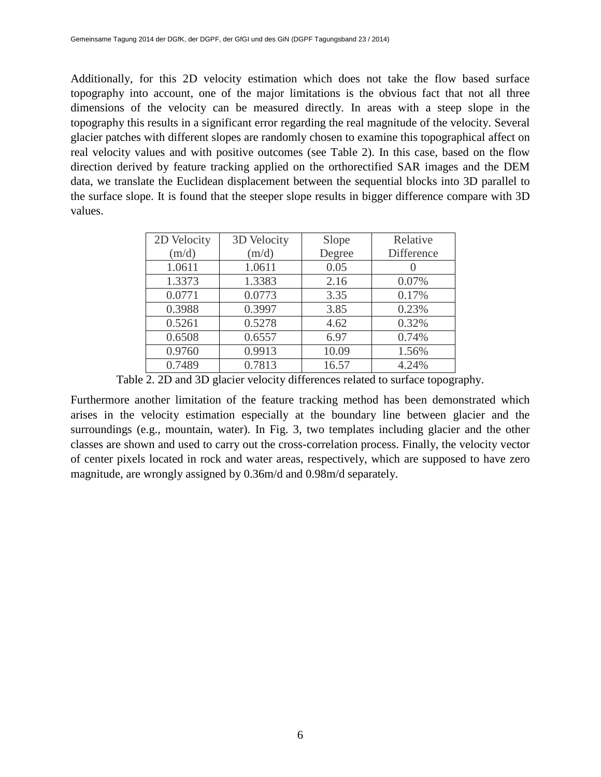Additionally, for this 2D velocity estimation which does not take the flow based surface topography into account, one of the major limitations is the obvious fact that not all three dimensions of the velocity can be measured directly. In areas with a steep slope in the topography this results in a significant error regarding the real magnitude of the velocity. Several glacier patches with different slopes are randomly chosen to examine this topographical affect on real velocity values and with positive outcomes (see Table 2). In this case, based on the flow direction derived by feature tracking applied on the orthorectified SAR images and the DEM data, we translate the Euclidean displacement between the sequential blocks into 3D parallel to the surface slope. It is found that the steeper slope results in bigger difference compare with 3D values.

| 2D Velocity | 3D Velocity | Slope  | Relative   |
|-------------|-------------|--------|------------|
| (m/d)       | (m/d)       | Degree | Difference |
| 1.0611      | 1.0611      | 0.05   |            |
| 1.3373      | 1.3383      | 2.16   | 0.07%      |
| 0.0771      | 0.0773      | 3.35   | 0.17%      |
| 0.3988      | 0.3997      | 3.85   | 0.23%      |
| 0.5261      | 0.5278      | 4.62   | 0.32%      |
| 0.6508      | 0.6557      | 6.97   | 0.74%      |
| 0.9760      | 0.9913      | 10.09  | 1.56%      |
| 0.7489      | 0.7813      | 16.57  | 4.24%      |

Table 2. 2D and 3D glacier velocity differences related to surface topography.

Furthermore another limitation of the feature tracking method has been demonstrated which arises in the velocity estimation especially at the boundary line between glacier and the surroundings (e.g., mountain, water). In Fig. 3, two templates including glacier and the other classes are shown and used to carry out the cross-correlation process. Finally, the velocity vector of center pixels located in rock and water areas, respectively, which are supposed to have zero magnitude, are wrongly assigned by 0.36m/d and 0.98m/d separately.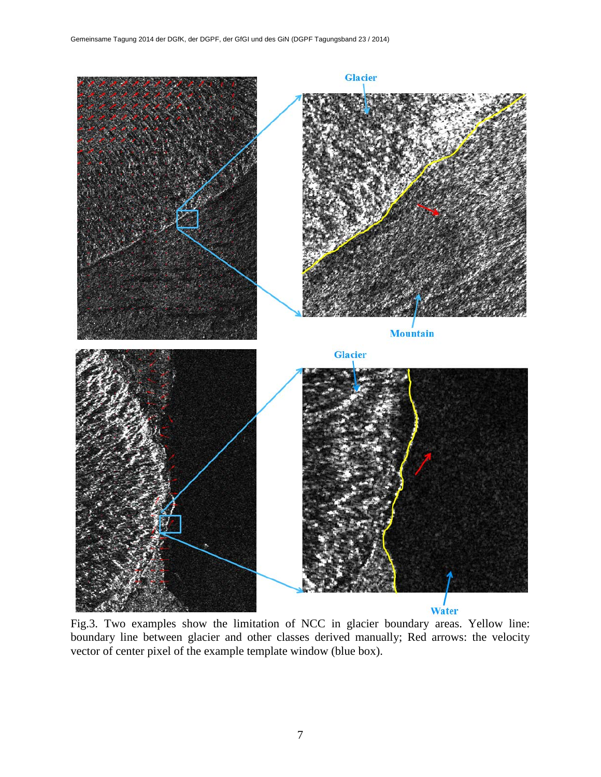

Fig.3. Two examples show the limitation of NCC in glacier boundary areas. Yellow line: boundary line between glacier and other classes derived manually; Red arrows: the velocity vector of center pixel of the example template window (blue box).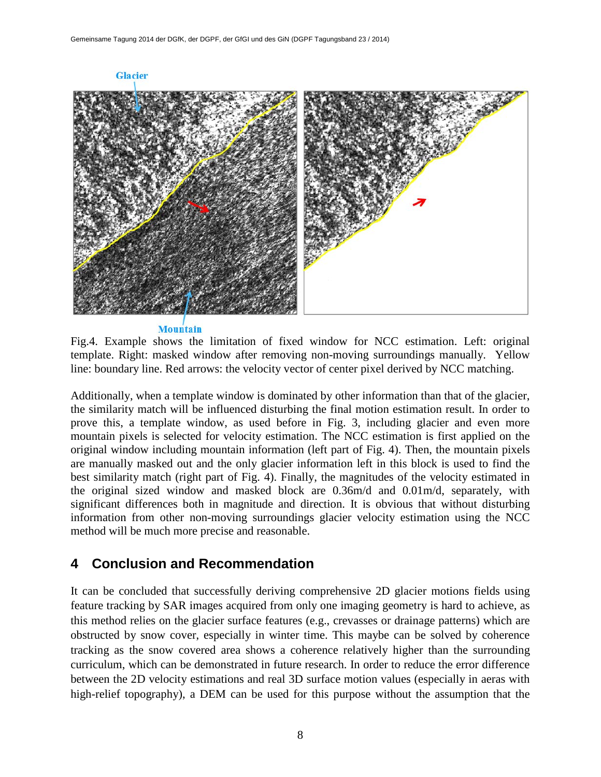

**Mountain** 

Fig.4. Example shows the limitation of fixed window for NCC estimation. Left: original template. Right: masked window after removing non-moving surroundings manually. Yellow line: boundary line. Red arrows: the velocity vector of center pixel derived by NCC matching.

Additionally, when a template window is dominated by other information than that of the glacier, the similarity match will be influenced disturbing the final motion estimation result. In order to prove this, a template window, as used before in Fig. 3, including glacier and even more mountain pixels is selected for velocity estimation. The NCC estimation is first applied on the original window including mountain information (left part of Fig. 4). Then, the mountain pixels are manually masked out and the only glacier information left in this block is used to find the best similarity match (right part of Fig. 4). Finally, the magnitudes of the velocity estimated in the original sized window and masked block are 0.36m/d and 0.01m/d, separately, with significant differences both in magnitude and direction. It is obvious that without disturbing information from other non-moving surroundings glacier velocity estimation using the NCC method will be much more precise and reasonable.

### **4 Conclusion and Recommendation**

It can be concluded that successfully deriving comprehensive 2D glacier motions fields using feature tracking by SAR images acquired from only one imaging geometry is hard to achieve, as this method relies on the glacier surface features (e.g., crevasses or drainage patterns) which are obstructed by snow cover, especially in winter time. This maybe can be solved by coherence tracking as the snow covered area shows a coherence relatively higher than the surrounding curriculum, which can be demonstrated in future research. In order to reduce the error difference between the 2D velocity estimations and real 3D surface motion values (especially in aeras with high-relief topography), a DEM can be used for this purpose without the assumption that the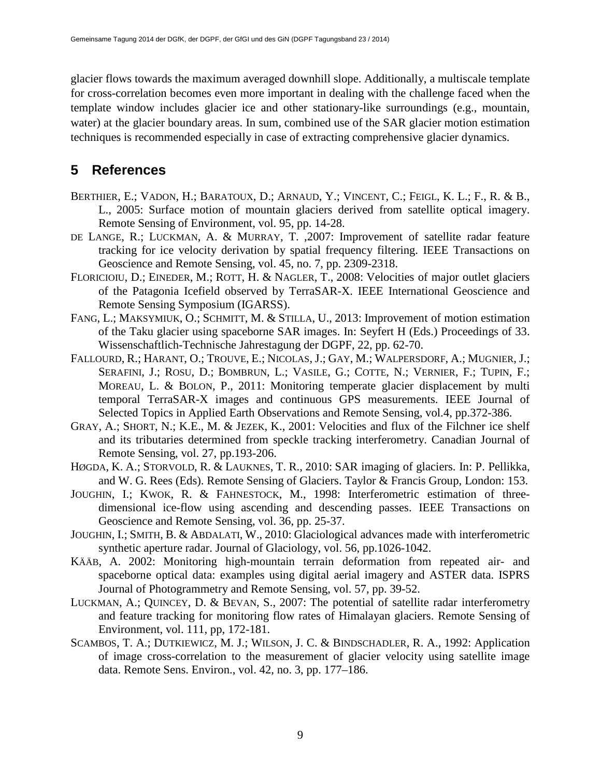glacier flows towards the maximum averaged downhill slope. Additionally, a multiscale template for cross-correlation becomes even more important in dealing with the challenge faced when the template window includes glacier ice and other stationary-like surroundings (e.g., mountain, water) at the glacier boundary areas. In sum, combined use of the SAR glacier motion estimation techniques is recommended especially in case of extracting comprehensive glacier dynamics.

#### **5 References**

- BERTHIER, E.; VADON, H.; BARATOUX, D.; ARNAUD, Y.; VINCENT, C.; FEIGL, K. L.; F., R. & B., L., 2005: Surface motion of mountain glaciers derived from satellite optical imagery. Remote Sensing of Environment, vol. 95, pp. 14-28.
- DE LANGE, R.; LUCKMAN, A. & MURRAY, T. ,2007: Improvement of satellite radar feature tracking for ice velocity derivation by spatial frequency filtering. IEEE Transactions on Geoscience and Remote Sensing, vol. 45, no. 7, pp. 2309-2318.
- FLORICIOIU, D.; EINEDER, M.; ROTT, H. & NAGLER, T., 2008: Velocities of major outlet glaciers of the Patagonia Icefield observed by TerraSAR-X. IEEE International Geoscience and Remote Sensing Symposium (IGARSS).
- FANG, L.; MAKSYMIUK, O.; SCHMITT, M. & STILLA, U., 2013: Improvement of motion estimation of the Taku glacier using spaceborne SAR images. In: Seyfert H (Eds.) Proceedings of 33. Wissenschaftlich-Technische Jahrestagung der DGPF, 22, pp. 62-70.
- FALLOURD, R.; HARANT, O.; TROUVE, E.; NICOLAS, J.; GAY, M.; WALPERSDORF, A.; MUGNIER, J.; SERAFINI, J.; ROSU, D.; BOMBRUN, L.; VASILE, G.; COTTE, N.; VERNIER, F.; TUPIN, F.; MOREAU, L. & BOLON, P., 2011: Monitoring temperate glacier displacement by multi temporal TerraSAR-X images and continuous GPS measurements. IEEE Journal of Selected Topics in Applied Earth Observations and Remote Sensing, vol.4, pp.372-386.
- GRAY, A.; SHORT, N.; K.E., M. & JEZEK, K., 2001: Velocities and flux of the Filchner ice shelf and its tributaries determined from speckle tracking interferometry. Canadian Journal of Remote Sensing, vol. 27, pp.193-206.
- HØGDA, K. A.; STORVOLD, R. & LAUKNES, T. R., 2010: SAR imaging of glaciers. In: P. Pellikka, and W. G. Rees (Eds). Remote Sensing of Glaciers. Taylor & Francis Group, London: 153.
- JOUGHIN, I.; KWOK, R. & FAHNESTOCK, M., 1998: Interferometric estimation of threedimensional ice-flow using ascending and descending passes. IEEE Transactions on Geoscience and Remote Sensing, vol. 36, pp. 25-37.
- JOUGHIN, I.; SMITH, B. & ABDALATI, W., 2010: Glaciological advances made with interferometric synthetic aperture radar. Journal of Glaciology, vol. 56, pp.1026-1042.
- KÄÄB, A. 2002: Monitoring high-mountain terrain deformation from repeated air- and spaceborne optical data: examples using digital aerial imagery and ASTER data. ISPRS Journal of Photogrammetry and Remote Sensing, vol. 57, pp. 39-52.
- LUCKMAN, A.; QUINCEY, D. & BEVAN, S., 2007: The potential of satellite radar interferometry and feature tracking for monitoring flow rates of Himalayan glaciers. Remote Sensing of Environment, vol. 111, pp, 172-181.
- SCAMBOS, T. A.; DUTKIEWICZ, M. J.; WILSON, J. C. & BINDSCHADLER, R. A., 1992: Application of image cross-correlation to the measurement of glacier velocity using satellite image data. Remote Sens. Environ., vol. 42, no. 3, pp. 177–186.